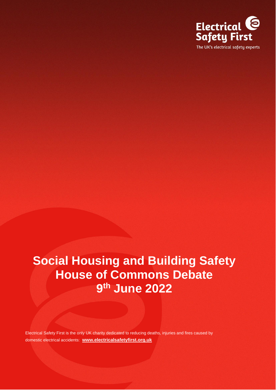

# **Social Housing and Building Safety House of Commons Debate 9 th June 2022**

Electrical Safety First is the only UK charity dedicated to reducing deaths, injuries and fires caused by domestic electrical accidents: **[www.electricalsafetyfirst.org.uk](http://www.electricalsafetyfirst.org.uk/)**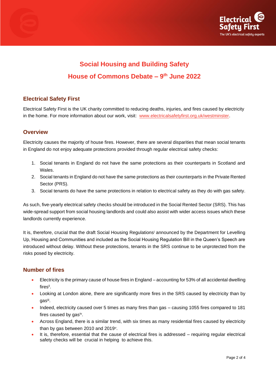



# **Social Housing and Building Safety House of Commons Debate – 9 th June 2022**

## **Electrical Safety First**

Electrical Safety First is the UK charity committed to reducing deaths, injuries, and fires caused by electricity in the home. For more information about our work, visit: [www.electricalsafetyfirst.org.uk/westminster.](http://www.electricalsafetyfirst.org.uk/westminster)

#### **Overview**

Electricity causes the majority of house fires. However, there are several disparities that mean social tenants in England do not enjoy adequate protections provided through regular electrical safety checks:

- 1. Social tenants in England do not have the same protections as their counterparts in Scotland and Wales.
- 2. Social tenants in England do not have the same protections as their counterparts in the Private Rented Sector (PRS).
- 3. Social tenants do have the same protections in relation to electrical safety as they do with gas safety.

As such, five-yearly electrical safety checks should be introduced in the Social Rented Sector (SRS). This has wide-spread support from social housing landlords and could also assist with wider access issues which these landlords currently experience.

It is, therefore, crucial that the draft Social Housing Regulations<sup>i</sup> announced by the Department for Levelling Up, Housing and Communities and included as the Social Housing Regulation Bill in the Queen's Speech are introduced without delay. Without these protections, tenants in the SRS continue to be unprotected from the risks posed by electricity.

#### **Number of fires**

- Electricity is the primary cause of house fires in England accounting for 53% of all accidental dwelling firesii .
- Looking at London alone, there are significantly more fires in the SRS caused by electricity than by gas<sup>iii</sup>.
- Indeed, electricity caused over 5 times as many fires than gas causing 1055 fires compared to 181 fires caused by gas<sup>iv</sup>.
- Across England, there is a similar trend, with six times as many residential fires caused by electricity than by gas between 2010 and 2019<sup>v</sup>.
- It is, therefore, essential that the cause of electrical fires is addressed requiring regular electrical safety checks will be crucial in helping to achieve this.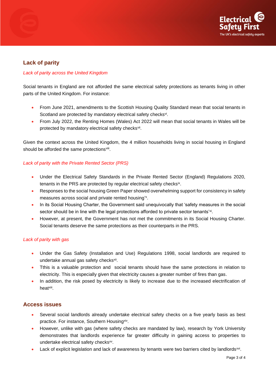

## **Lack of parity**

#### *Lack of parity across the United Kingdom*

Social tenants in England are not afforded the same electrical safety protections as tenants living in other parts of the United Kingdom. For instance:

- From June 2021, amendments to the Scottish Housing Quality Standard mean that social tenants in Scotland are protected by mandatory electrical safety checks<sup>vi</sup>.
- From July 2022, the Renting Homes (Wales) Act 2022 will mean that social tenants in Wales will be protected by mandatory electrical safety checks<sup>vii</sup>.

Given the context across the United Kingdom, the 4 million households living in social housing in England should be afforded the same protections<sup>viii</sup>.

#### *Lack of parity with the Private Rented Sector (PRS)*

- Under the Electrical Safety Standards in the Private Rented Sector (England) Regulations 2020, tenants in the PRS are protected by regular electrical safety checks<sup>ix</sup>.
- Responses to the social housing Green Paper showed overwhelming support for consistency in safety measures across social and private rented housing'<sup>x</sup>.
- In its Social Housing Charter, the Government said unequivocally that 'safety measures in the social sector should be in line with the legal protections afforded to private sector tenants'<sup>xi</sup>.
- However, at present, the Government has not met the commitments in its Social Housing Charter. Social tenants deserve the same protections as their counterparts in the PRS.

#### *Lack of parity with gas*

- Under the Gas Safety (Installation and Use) Regulations 1998, social landlords are required to undertake annual gas safety checks<sup>xii</sup>.
- Tthis is a valuable protection and social tenants should have the same protections in relation to electricity. This is especially given that electricity causes a greater number of fires than gas.
- In addition, the risk posed by electricity is likely to increase due to the increased electrification of heat<sup>xiii</sup>.

#### **Access issues**

- Several social landlords already undertake electrical safety checks on a five yearly basis as best practice. For instance, Southern Housing<sup>xiv</sup>.
- However, unlike with gas (where safety checks are mandated by law), research by York University demonstrates that landlords experience far greater difficulty in gaining access to properties to undertake electrical safety checks<sup>xv</sup>.
- Lack of explicit legislation and lack of awareness by tenants were two barriers cited by landlords $^{xvi}$ .